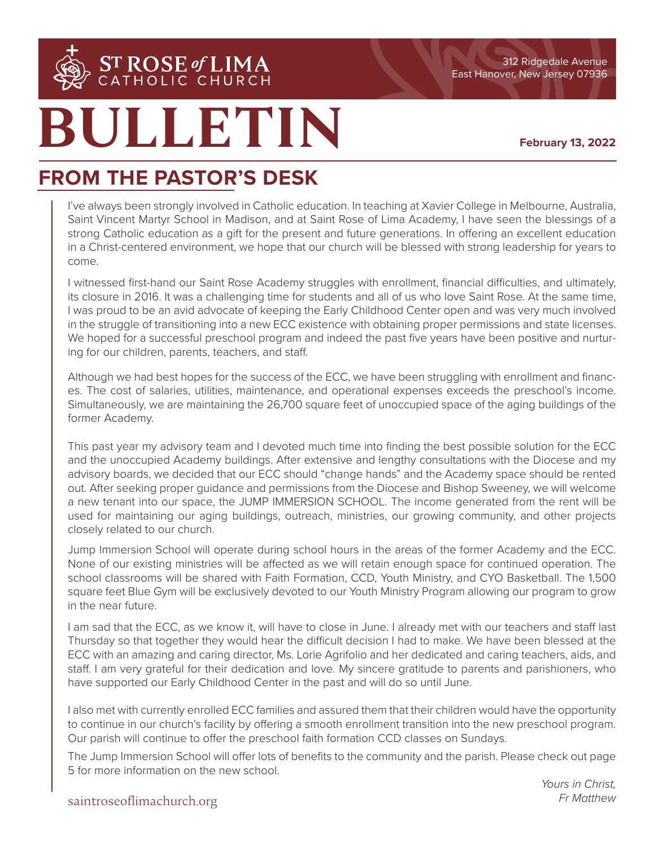

**BULLETIN**

### **February 13, 2022**

## **FROM THE PASTOR'S DESK**

I've always been strongly involved in Catholic education. In teaching at Xavier College in Melbourne, Australia, Saint Vincent Martyr School in Madison, and at Saint Rose of Lima Academy, I have seen the blessings of a strong Catholic education as a gift for the present and future generations. In offering an excellent education in a Christ-centered environment, we hope that our church will be blessed with strong leadership for years to come.

I witnessed first-hand our Saint Rose Academy struggles with enrollment, financial difficulties, and ultimately, its closure in 2016. It was a challenging time for students and all of us who love Saint Rose. At the same time, I was proud to be an avid advocate of keeping the Early Childhood Center open and was very much involved in the struggle of transitioning into a new ECC existence with obtaining proper permissions and state licenses. We hoped for a successful preschool program and indeed the past five years have been positive and nurturing for our children, parents, teachers, and staff.

Although we had best hopes for the success of the ECC, we have been struggling with enrollment and finances. The cost of salaries, utilities, maintenance, and operational expenses exceeds the preschool's income. Simultaneously, we are maintaining the 26,700 square feet of unoccupied space of the aging buildings of the former Academy.

This past year my advisory team and I devoted much time into finding the best possible solution for the ECC and the unoccupied Academy buildings. After extensive and lengthy consultations with the Diocese and my advisory boards, we decided that our ECC should "change hands" and the Academy space should be rented out. After seeking proper guidance and permissions from the Diocese and Bishop Sweeney, we will welcome a new tenant into our space, the JUMP IMMERSION SCHOOL. The income generated from the rent will be used for maintaining our aging buildings, outreach, ministries, our growing community, and other projects closely related to our church.

Jump Immersion School will operate during school hours in the areas of the former Academy and the ECC. None of our existing ministries will be affected as we will retain enough space for continued operation. The school classrooms will be shared with Faith Formation, CCD, Youth Ministry, and CYO Basketball. The 1,500 square feet Blue Gym will be exclusively devoted to our Youth Ministry Program allowing our program to grow in the near future.

I am sad that the ECC, as we know it, will have to close in June. I already met with our teachers and staff last Thursday so that together they would hear the difficult decision I had to make. We have been blessed at the ECC with an amazing and caring director, Ms. Lorie Agrifolio and her dedicated and caring teachers, aids, and staff. I am very grateful for their dedication and love. My sincere gratitude to parents and parishioners, who have supported our Early Childhood Center in the past and will do so until June.

I also met with currently enrolled ECC families and assured them that their children would have the opportunity to continue in our church's facility by offering a smooth enrollment transition into the new preschool program. Our parish will continue to offer the preschool faith formation CCD classes on Sundays.

The Jump Immersion School will offer lots of benefits to the community and the parish. Please check out page 5 for more information on the new school.

## saintroseoflimachurch.org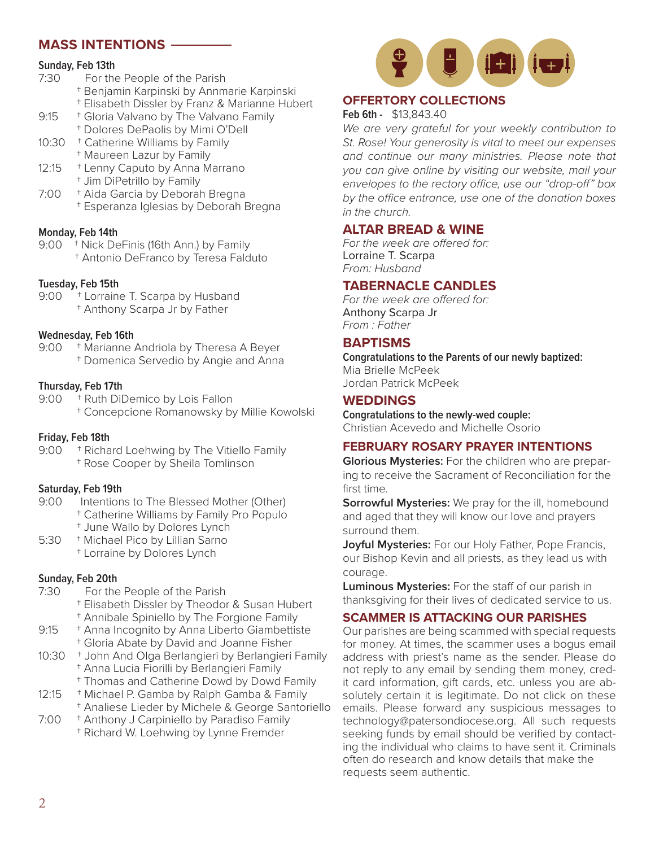## **MASS INTENTIONS**

## **Sunday, Feb 13th**<br>7:30 For the

- For the People of the Parish
	- † Benjamin Karpinski by Annmarie Karpinski
	- † Elisabeth Dissler by Franz & Marianne Hubert
- 9:15 <sup>+</sup> Gloria Valvano by The Valvano Family
- † Dolores DePaolis by Mimi O'Dell
- 10:30 <sup>+</sup> Catherine Williams by Family
- † Maureen Lazur by Family
- 12:15 <sup>+</sup> Lenny Caputo by Anna Marrano † Jim DiPetrillo by Family
- 7:00 † Aida Garcia by Deborah Bregna † Esperanza Iglesias by Deborah Bregna

## **Monday, Feb 14th**<br>9:00 <sup>+</sup> Nick De

- <sup>+</sup> Nick DeFinis (16th Ann.) by Family
	- † Antonio DeFranco by Teresa Falduto

### **Tuesday, Feb 15th**

- 9:00 <sup>+</sup> Lorraine T. Scarpa by Husband
	- † Anthony Scarpa Jr by Father

## **Wednesday, Feb 16th**

<sup>+</sup> Marianne Andriola by Theresa A Beyer † Domenica Servedio by Angie and Anna

- **Thursday, Feb 17th** <sup>+</sup> Ruth DiDemico by Lois Fallon
	- † Concepcione Romanowsky by Millie Kowolski

## **Friday, Feb 18th**

<sup>+</sup> Richard Loehwing by The Vitiello Family † Rose Cooper by Sheila Tomlinson

## **Saturday, Feb 19th**

- Intentions to The Blessed Mother (Other)
	- † Catherine Williams by Family Pro Populo
- † June Wallo by Dolores Lynch
- 5:30 † Michael Pico by Lillian Sarno
	- † Lorraine by Dolores Lynch

## **Sunday, Feb 20th**<br>7:30 **For the**

- For the People of the Parish
	- † Elisabeth Dissler by Theodor & Susan Hubert † Annibale Spiniello by The Forgione Family
- 9:15 <sup>+</sup> Anna Incognito by Anna Liberto Giambettiste
	- † Gloria Abate by David and Joanne Fisher
- 10:30 † John And Olga Berlangieri by Berlangieri Family † Anna Lucia Fiorilli by Berlangieri Family
	- † Thomas and Catherine Dowd by Dowd Family
- 12:15 <sup>+</sup> Michael P. Gamba by Ralph Gamba & Family † Analiese Lieder by Michele & George Santoriello
- 7:00 † Anthony J Carpiniello by Paradiso Family
	- † Richard W. Loehwing by Lynne Fremder



## **OFFERTORY COLLECTIONS**

**Feb 6th -** \$13,843.40

*We are very grateful for your weekly contribution to St. Rose! Your generosity is vital to meet our expenses and continue our many ministries. Please note that you can give online by visiting our website, mail your envelopes to the rectory office, use our "drop-off" box by the office entrance, use one of the donation boxes in the church.*

## **ALTAR BREAD & WINE**

*For the week are offered for:* Lorraine T. Scarpa *From: Husband*

## **TABERNACLE CANDLES**

*For the week are offered for:* Anthony Scarpa Jr *From : Father*

## **BAPTISMS**

**Congratulations to the Parents of our newly baptized:** Mia Brielle McPeek Jordan Patrick McPeek

## **WEDDINGS**

**Congratulations to the newly-wed couple:** Christian Acevedo and Michelle Osorio

## **FEBRUARY ROSARY PRAYER INTENTIONS**

**Glorious Mysteries:** For the children who are preparing to receive the Sacrament of Reconciliation for the first time.

**Sorrowful Mysteries:** We pray for the ill, homebound and aged that they will know our love and prayers surround them.

**Joyful Mysteries:** For our Holy Father, Pope Francis, our Bishop Kevin and all priests, as they lead us with courage.

**Luminous Mysteries:** For the staff of our parish in thanksgiving for their lives of dedicated service to us.

## **SCAMMER IS ATTACKING OUR PARISHES**

Our parishes are being scammed with special requests for money. At times, the scammer uses a bogus email address with priest's name as the sender. Please do not reply to any email by sending them money, credit card information, gift cards, etc. unless you are absolutely certain it is legitimate. Do not click on these emails. Please forward any suspicious messages to technology@patersondiocese.org. All such requests seeking funds by email should be verified by contacting the individual who claims to have sent it. Criminals often do research and know details that make the requests seem authentic.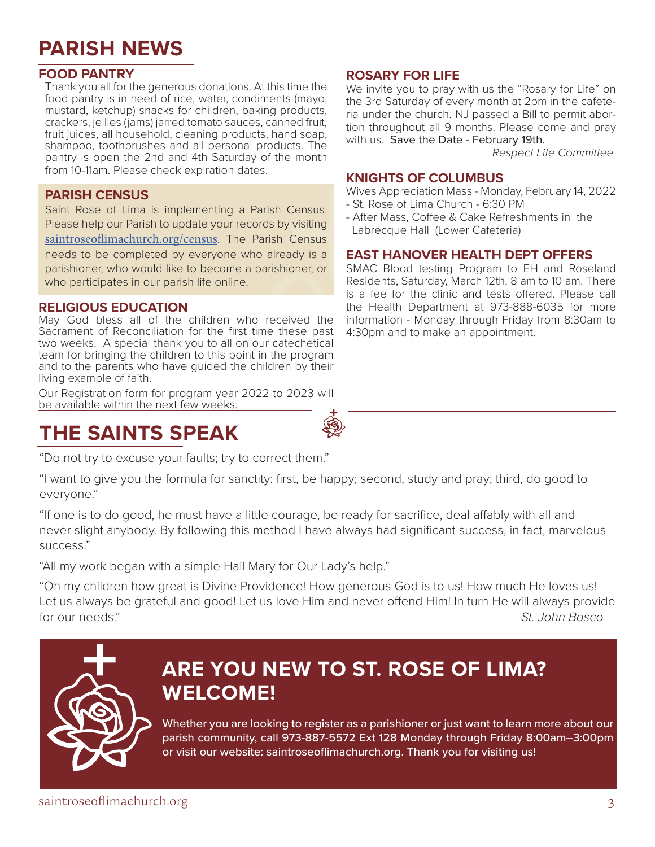## **PARISH NEWS**

## **FOOD PANTRY**

Thank you all for the generous donations. At this time the food pantry is in need of rice, water, condiments (mayo, mustard, ketchup) snacks for children, baking products, crackers, jellies (jams) jarred tomato sauces, canned fruit, fruit juices, all household, cleaning products, hand soap, shampoo, toothbrushes and all personal products. The pantry is open the 2nd and 4th Saturday of the month from 10-11am. Please check expiration dates.

## **PARISH CENSUS**

Saint Rose of Lima is implementing a Parish Census. Please help our Parish to update your records by visiting saintroseoflimachurch.org/census. The Parish Census needs to be completed by everyone who already is a parishioner, who would like to become a parishioner, or who participates in our parish life online.

### **RELIGIOUS EDUCATION**

May God bless all of the children who received the Sacrament of Reconciliation for the first time these past two weeks. A special thank you to all on our catechetical team for bringing the children to this point in the program and to the parents who have guided the children by their living example of faith.

Our Registration form for program year 2022 to 2023 will be available within the next few weeks.

## **THE SAINTS SPEAK**

"Do not try to excuse your faults; try to correct them."

### "I want to give you the formula for sanctity: first, be happy; second, study and pray; third, do good to everyone."

"If one is to do good, he must have a little courage, be ready for sacrifice, deal affably with all and never slight anybody. By following this method I have always had significant success, in fact, marvelous success."

"All my work began with a simple Hail Mary for Our Lady's help."

"Oh my children how great is Divine Providence! How generous God is to us! How much He loves us! Let us always be grateful and good! Let us love Him and never offend Him! In turn He will always provide for our needs." *St. John Bosco*

## **ARE YOU NEW TO ST. ROSE OF LIMA? WELCOME!**

Whether you are looking to register as a parishioner or just want to learn more about our parish community, call 973-887-5572 Ext 128 Monday through Friday 8:00am–3:00pm or visit our website: saintroseoflimachurch.org. Thank you for visiting us!

# **ROSARY FOR LIFE**

We invite you to pray with us the "Rosary for Life" on the 3rd Saturday of every month at 2pm in the cafeteria under the church. NJ passed a Bill to permit abortion throughout all 9 months. Please come and pray with us. Save the Date - February 19th.

 *Respect Life Committee*

## **KNIGHTS OF COLUMBUS**

Wives Appreciation Mass - Monday, February 14, 2022 - St. Rose of Lima Church - 6:30 PM

- After Mass, Coffee & Cake Refreshments in the Labrecque Hall (Lower Cafeteria)

## **EAST HANOVER HEALTH DEPT OFFERS**

SMAC Blood testing Program to EH and Roseland Residents, Saturday, March 12th, 8 am to 10 am. There is a fee for the clinic and tests offered. Please call the Health Department at 973-888-6035 for more information - Monday through Friday from 8:30am to 4:30pm and to make an appointment.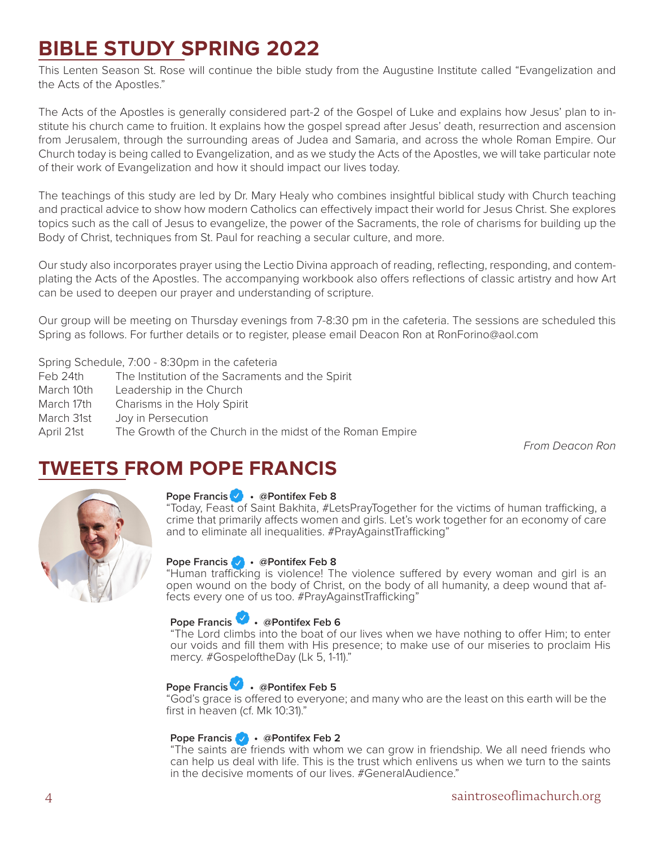## **BIBLE STUDY SPRING 2022**

This Lenten Season St. Rose will continue the bible study from the Augustine Institute called "Evangelization and the Acts of the Apostles."

The Acts of the Apostles is generally considered part-2 of the Gospel of Luke and explains how Jesus' plan to institute his church came to fruition. It explains how the gospel spread after Jesus' death, resurrection and ascension from Jerusalem, through the surrounding areas of Judea and Samaria, and across the whole Roman Empire. Our Church today is being called to Evangelization, and as we study the Acts of the Apostles, we will take particular note of their work of Evangelization and how it should impact our lives today.

The teachings of this study are led by Dr. Mary Healy who combines insightful biblical study with Church teaching and practical advice to show how modern Catholics can effectively impact their world for Jesus Christ. She explores topics such as the call of Jesus to evangelize, the power of the Sacraments, the role of charisms for building up the Body of Christ, techniques from St. Paul for reaching a secular culture, and more.

Our study also incorporates prayer using the Lectio Divina approach of reading, reflecting, responding, and contemplating the Acts of the Apostles. The accompanying workbook also offers reflections of classic artistry and how Art can be used to deepen our prayer and understanding of scripture.

Our group will be meeting on Thursday evenings from 7-8:30 pm in the cafeteria. The sessions are scheduled this Spring as follows. For further details or to register, please email Deacon Ron at RonForino@aol.com

#### Spring Schedule, 7:00 - 8:30pm in the cafeteria

- Feb 24th The Institution of the Sacraments and the Spirit March 10th Leadership in the Church
- March 17th Charisms in the Holy Spirit
- March 31st Joy in Persecution
- April 21st The Growth of the Church in the midst of the Roman Empire

*From Deacon Ron*

## **TWEETS FROM POPE FRANCIS**



### **Pope Francis • @Pontifex Feb 8**

"Today, Feast of Saint Bakhita, #LetsPrayTogether for the victims of human trafficking, a crime that primarily affects women and girls. Let's work together for an economy of care and to eliminate all inequalities. #PrayAgainstTrafficking"

### **Pope Francis • @Pontifex Feb 8**

"Human trafficking is violence! The violence suffered by every woman and girl is an open wound on the body of Christ, on the body of all humanity, a deep wound that affects every one of us too. #PrayAgainstTrafficking"

### **Pope Francis • @Pontifex Feb 6**

"The Lord climbs into the boat of our lives when we have nothing to offer Him; to enter our voids and fill them with His presence; to make use of our miseries to proclaim His mercy. #GospeloftheDay (Lk 5, 1-11)."

## **Pope Francis • @Pontifex Feb 5**

"God's grace is offered to everyone; and many who are the least on this earth will be the first in heaven (cf. Mk 10:31)."

### **Pope Francis • @Pontifex Feb 2**

"The saints are friends with whom we can grow in friendship. We all need friends who can help us deal with life. This is the trust which enlivens us when we turn to the saints in the decisive moments of our lives. #GeneralAudience."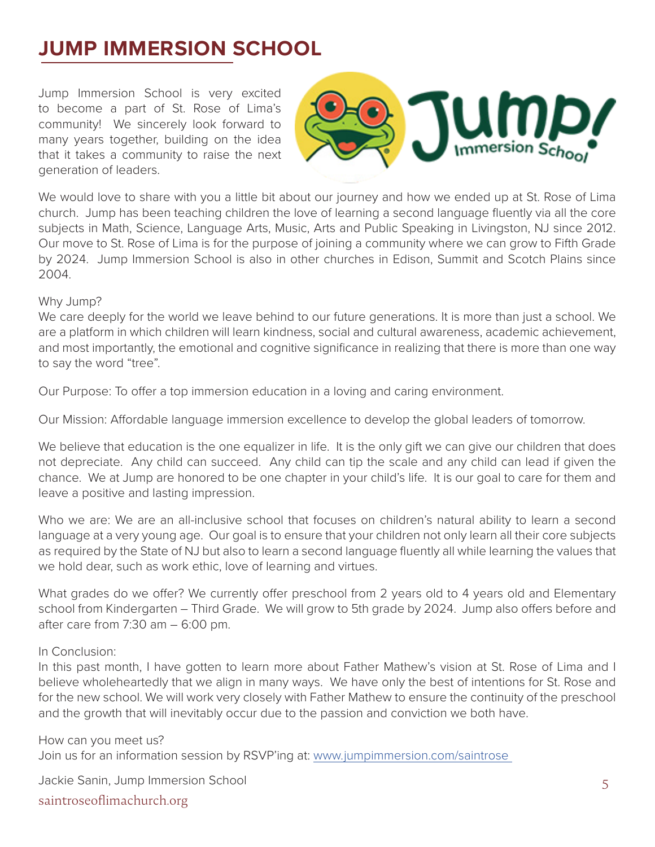# **JUMP IMMERSION SCHOOL**

Jump Immersion School is very excited to become a part of St. Rose of Lima's community! We sincerely look forward to many years together, building on the idea that it takes a community to raise the next generation of leaders.



We would love to share with you a little bit about our journey and how we ended up at St. Rose of Lima church. Jump has been teaching children the love of learning a second language fluently via all the core subjects in Math, Science, Language Arts, Music, Arts and Public Speaking in Livingston, NJ since 2012. Our move to St. Rose of Lima is for the purpose of joining a community where we can grow to Fifth Grade by 2024. Jump Immersion School is also in other churches in Edison, Summit and Scotch Plains since 2004.

### Why Jump?

We care deeply for the world we leave behind to our future generations. It is more than just a school. We are a platform in which children will learn kindness, social and cultural awareness, academic achievement, and most importantly, the emotional and cognitive significance in realizing that there is more than one way to say the word "tree".

Our Purpose: To offer a top immersion education in a loving and caring environment.

Our Mission: Affordable language immersion excellence to develop the global leaders of tomorrow.

We believe that education is the one equalizer in life. It is the only gift we can give our children that does not depreciate. Any child can succeed. Any child can tip the scale and any child can lead if given the chance. We at Jump are honored to be one chapter in your child's life. It is our goal to care for them and leave a positive and lasting impression.

Who we are: We are an all-inclusive school that focuses on children's natural ability to learn a second language at a very young age. Our goal is to ensure that your children not only learn all their core subjects as required by the State of NJ but also to learn a second language fluently all while learning the values that we hold dear, such as work ethic, love of learning and virtues.

What grades do we offer? We currently offer preschool from 2 years old to 4 years old and Elementary school from Kindergarten – Third Grade. We will grow to 5th grade by 2024. Jump also offers before and after care from  $7:30$  am  $-6:00$  pm.

### In Conclusion:

In this past month, I have gotten to learn more about Father Mathew's vision at St. Rose of Lima and I believe wholeheartedly that we align in many ways. We have only the best of intentions for St. Rose and for the new school. We will work very closely with Father Mathew to ensure the continuity of the preschool and the growth that will inevitably occur due to the passion and conviction we both have.

How can you meet us? Join us for an information session by RSVP'ing at: www.jumpimmersion.com/saintrose

saintroseoflimachurch.org Jackie Sanin, Jump Immersion School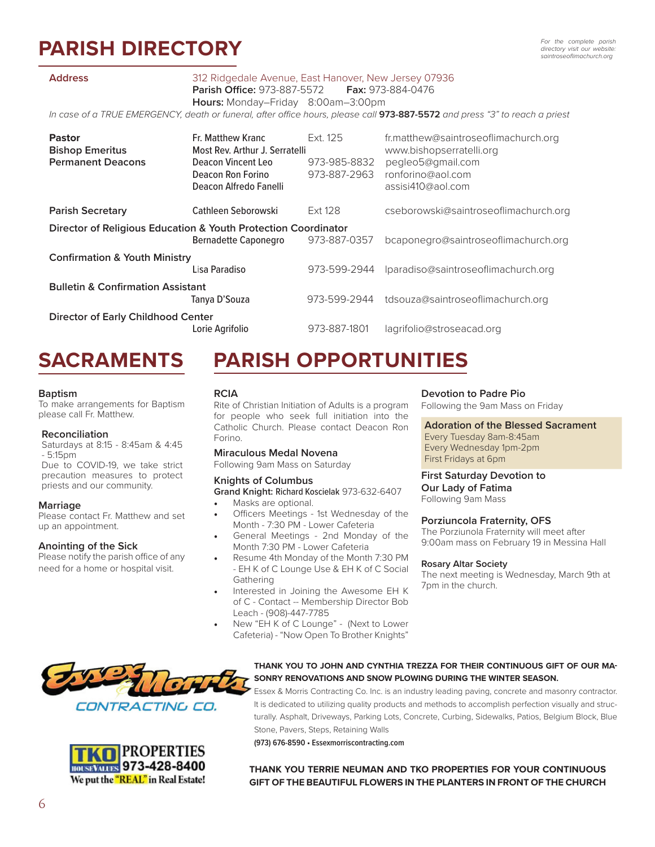# **PARISH DIRECTORY**

#### **Address** 312 Ridgedale Avenue, East Hanover, New Jersey 07936

 **Parish Office:** 973-887-5572 **Fax:** 973-884-0476

 **Hours:** Monday–Friday 8:00am–3:00pm

*In case of a TRUE EMERGENCY, death or funeral, after office hours, please call* **973-887-5572** *and press "3" to reach a priest*

| <b>Pastor</b><br><b>Bishop Emeritus</b><br><b>Permanent Deacons</b> | Fr. Matthew Kranc<br>Most Rev. Arthur J. Serratelli<br>Deacon Vincent Leo<br>Deacon Ron Forino<br>Deacon Alfredo Fanelli | Ext. 125<br>973-985-8832<br>973-887-2963 | fr.matthew@saintroseoflimachurch.org<br>www.bishopserratelli.org<br>pegleo5@gmail.com<br>ronforino@aol.com<br>assisi410@aol.com |
|---------------------------------------------------------------------|--------------------------------------------------------------------------------------------------------------------------|------------------------------------------|---------------------------------------------------------------------------------------------------------------------------------|
| <b>Parish Secretary</b>                                             | Cathleen Seborowski                                                                                                      | Ext 128                                  | cseborowski@saintroseoflimachurch.org                                                                                           |
| Director of Religious Education & Youth Protection Coordinator      |                                                                                                                          |                                          |                                                                                                                                 |
|                                                                     | <b>Bernadette Caponegro</b>                                                                                              | 973-887-0357                             | bcaponegro@saintroseoflimachurch.org                                                                                            |
| <b>Confirmation &amp; Youth Ministry</b>                            |                                                                                                                          |                                          |                                                                                                                                 |
|                                                                     | Lisa Paradiso                                                                                                            | 973-599-2944                             | Iparadiso@saintroseoflimachurch.org                                                                                             |
| <b>Bulletin &amp; Confirmation Assistant</b>                        |                                                                                                                          |                                          |                                                                                                                                 |
|                                                                     | Tanya D'Souza                                                                                                            | 973-599-2944                             | tdsouza@saintroseoflimachurch.org                                                                                               |
| <b>Director of Early Childhood Center</b>                           |                                                                                                                          |                                          |                                                                                                                                 |
|                                                                     | Lorie Agrifolio                                                                                                          | 973-887-1801                             | lagrifolio@stroseacad.org                                                                                                       |

## **SACRAMENTS**

#### **Baptism**

To make arrangements for Baptism please call Fr. Matthew.

#### **Reconciliation**

Saturdays at 8:15 - 8:45am & 4:45 - 5:15pm

Due to COVID-19, we take strict precaution measures to protect priests and our community.

#### **Marriage**

Please contact Fr. Matthew and set up an appointment.

#### **Anointing of the Sick**

Please notify the parish office of any need for a home or hospital visit.

## **PARISH OPPORTUNITIES**

#### **RCIA**

Rite of Christian Initiation of Adults is a program for people who seek full initiation into the Catholic Church. Please contact Deacon Ron Forino.

#### **Miraculous Medal Novena**

Following 9am Mass on Saturday

#### **Knights of Columbus**

**Grand Knight:** Richard Koscielak 973-632-6407

Masks are optional.

- Officers Meetings 1st Wednesday of the Month - 7:30 PM - Lower Cafeteria
- Month 7:30 PM Lower Cafeteria
- Resume 4th Monday of the Month 7:30 PM - EH K of C Lounge Use & EH K of C Social Gathering
- Interested in Joining the Awesome EH K of C - Contact -- Membership Director Bob Leach - (908)-447-7785
- New "EH K of C Lounge" (Next to Lower Cafeteria) - "Now Open To Brother Knights"

#### **Devotion to Padre Pio**

Following the 9am Mass on Friday

### **Adoration of the Blessed Sacrament**

Every Tuesday 8am-8:45am Every Wednesday 1pm-2pm First Fridays at 6pm

#### **First Saturday Devotion to Our Lady of Fatima**

Following 9am Mass

#### **Porziuncola Fraternity, OFS**

The Porziunola Fraternity will meet after 9:00am mass on February 19 in Messina Hall

#### **Rosary Altar Society**

The next meeting is Wednesday, March 9th at 7pm in the church.





#### **THANK YOU TO JOHN AND CYNTHIA TREZZA FOR THEIR CONTINUOUS GIFT OF OUR MA-SONRY RENOVATIONS AND SNOW PLOWING DURING THE WINTER SEASON.**

Essex & Morris Contracting Co. Inc. is an industry leading paving, concrete and masonry contractor. It is dedicated to utilizing quality products and methods to accomplish perfection visually and structurally. Asphalt, Driveways, Parking Lots, Concrete, Curbing, Sidewalks, Patios, Belgium Block, Blue Stone, Pavers, Steps, Retaining Walls

**(973) 676-8590 • Essexmorriscontracting.com**

**THANK YOU TERRIE NEUMAN AND TKO PROPERTIES FOR YOUR CONTINUOUS GIFT OF THE BEAUTIFUL FLOWERS IN THE PLANTERS IN FRONT OF THE CHURCH**

• General Meetings - 2nd Monday of the